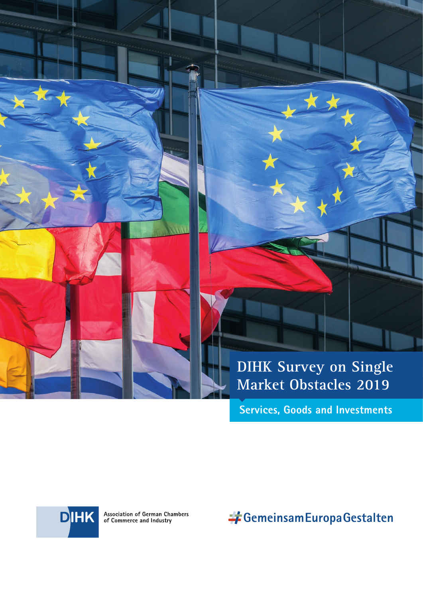



**Services, Goods and Investments**



Association of German Chambers<br>of Commerce and Industry

**GemeinsamEuropaGestalten**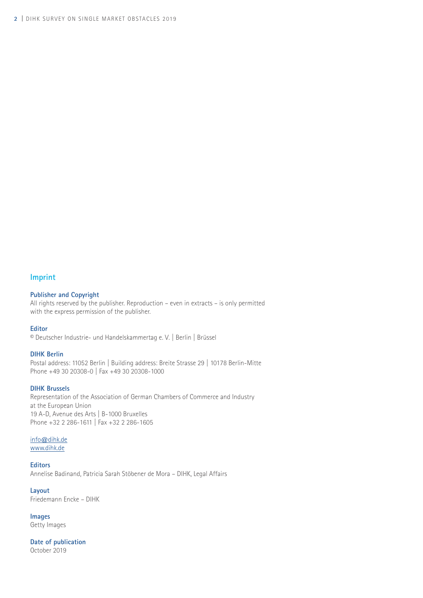## **Imprint**

#### **Publisher and Copyright**

All rights reserved by the publisher. Reproduction – even in extracts – is only permitted with the express permission of the publisher.

#### **Editor**

© Deutscher Industrie- und Handelskammertag e. V. | Berlin | Brüssel

#### **DIHK Berlin**

Postal address: 11052 Berlin | Building address: Breite Strasse 29 | 10178 Berlin-Mitte Phone +49 30 20308-0 | Fax +49 30 20308-1000

#### **DIHK Brussels**

Representation of the Association of German Chambers of Commerce and Industry at the European Union 19 A-D, Avenue des Arts | B-1000 Bruxelles Phone +32 2 286-1611 | Fax +32 2 286-1605

#### info@dihk.de www.dihk.de

**Editors** Annelise Badinand, Patricia Sarah Stöbener de Mora – DIHK, Legal Affairs

**Layout** Friedemann Encke – DIHK

**Images** Getty Images

**Date of publication** October 2019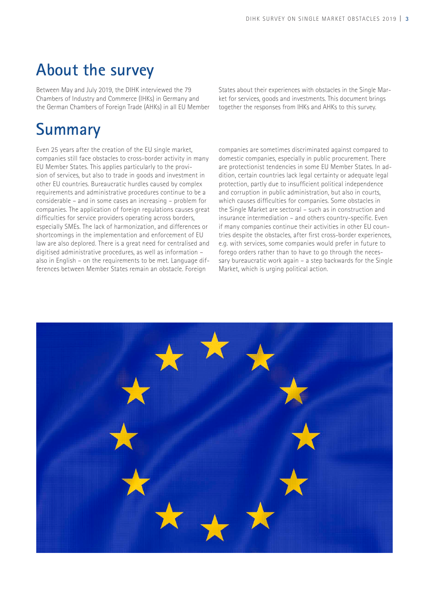# **About the survey**

Between May and July 2019, the DIHK interviewed the 79 Chambers of Industry and Commerce (IHKs) in Germany and the German Chambers of Foreign Trade (AHKs) in all EU Member States about their experiences with obstacles in the Single Market for services, goods and investments. This document brings together the responses from IHKs and AHKs to this survey.

# **Summary**

Even 25 years after the creation of the EU single market, companies still face obstacles to cross-border activity in many EU Member States. This applies particularly to the provision of services, but also to trade in goods and investment in other EU countries. Bureaucratic hurdles caused by complex requirements and administrative procedures continue to be a considerable – and in some cases an increasing – problem for companies. The application of foreign regulations causes great difficulties for service providers operating across borders, especially SMEs. The lack of harmonization, and differences or shortcomings in the implementation and enforcement of EU law are also deplored. There is a great need for centralised and digitised administrative procedures, as well as information – also in English – on the requirements to be met. Language differences between Member States remain an obstacle. Foreign

companies are sometimes discriminated against compared to domestic companies, especially in public procurement. There are protectionist tendencies in some EU Member States. In addition, certain countries lack legal certainty or adequate legal protection, partly due to insufficient political independence and corruption in public administration, but also in courts, which causes difficulties for companies. Some obstacles in the Single Market are sectoral – such as in construction and insurance intermediation – and others country-specific. Even if many companies continue their activities in other EU countries despite the obstacles, after first cross-border experiences, e.g. with services, some companies would prefer in future to forego orders rather than to have to go through the necessary bureaucratic work again – a step backwards for the Single Market, which is urging political action.

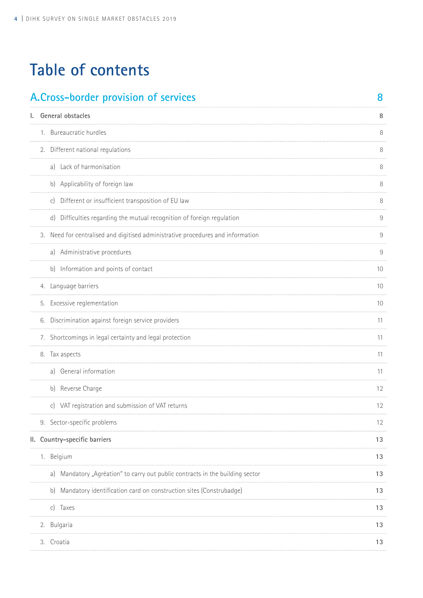| A. Cross-border provision of services                                           | 8  |
|---------------------------------------------------------------------------------|----|
| I. General obstacles                                                            | 8  |
| 1. Bureaucratic hurdles                                                         |    |
| 2. Different national regulations                                               |    |
| a) Lack of harmonisation                                                        |    |
| b) Applicability of foreign law                                                 |    |
| c) Different or insufficient transposition of EU law                            |    |
| d) Difficulties regarding the mutual recognition of foreign regulation          |    |
| 3. Need for centralised and digitised administrative procedures and information |    |
| a) Administrative procedures                                                    | 9  |
| b) Information and points of contact                                            | 10 |
| 4. Language barriers                                                            | 10 |
| 5. Excessive reglementation                                                     | 10 |
| 6. Discrimination against foreign service providers                             | 11 |
| 7. Shortcomings in legal certainty and legal protection                         | 11 |
| 8. Tax aspects                                                                  | 11 |
| a) General information                                                          | 11 |
| b) Reverse Charge                                                               | 12 |
| c) VAT registration and submission of VAT returns                               | 12 |
| 9. Sector-specific problems                                                     | 12 |
| II. Country-specific barriers                                                   | 13 |
| 1. Belgium                                                                      | 13 |
| a) Mandatory "Agréation" to carry out public contracts in the building sector   | 13 |
| b) Mandatory identification card on construction sites (Construbadge)           | 13 |
| c) Taxes                                                                        | 13 |
| 2. Bulgaria                                                                     | 13 |
| 3. Croatia                                                                      | 13 |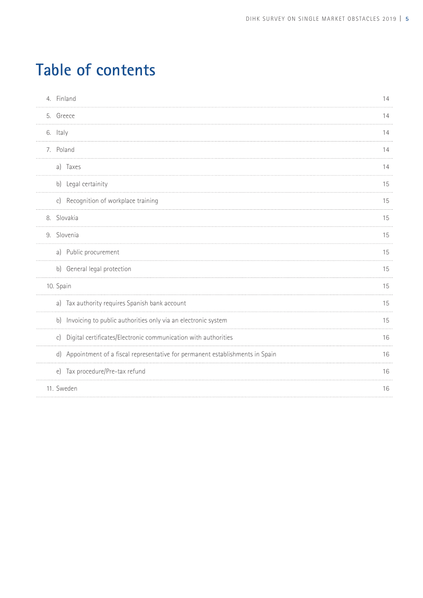| 4. Finland                                                                      | 14 |
|---------------------------------------------------------------------------------|----|
| 5. Greece                                                                       | 14 |
| 6. Italy                                                                        | 14 |
| 7. Poland                                                                       | 14 |
| a) Taxes                                                                        | 14 |
| b) Legal certainity                                                             | 15 |
| c) Recognition of workplace training                                            | 15 |
| 8. Slovakia                                                                     | 15 |
| 9. Slovenia                                                                     | 15 |
| a) Public procurement                                                           | 15 |
| b) General legal protection                                                     | 15 |
| 10. Spain                                                                       | 15 |
| a) Tax authority requires Spanish bank account                                  | 15 |
| b) Invoicing to public authorities only via an electronic system                | 15 |
| c) Digital certificates/Electronic communication with authorities               | 16 |
| d) Appointment of a fiscal representative for permanent establishments in Spain | 16 |
| e) Tax procedure/Pre-tax refund                                                 | 16 |
| 11. Sweden                                                                      | 16 |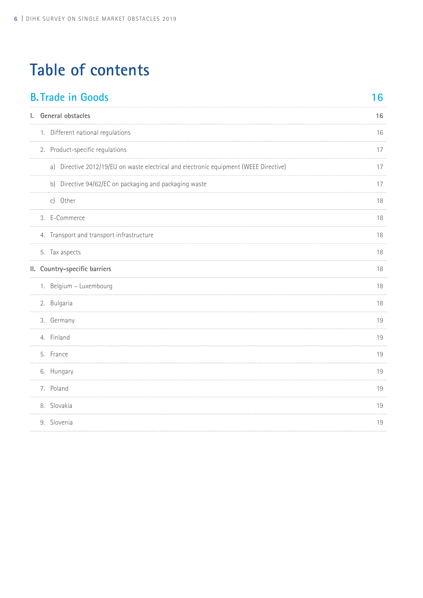| 16 |
|----|
| 16 |
| 16 |
| 17 |
| 17 |
| 17 |
| 18 |
| 18 |
| 18 |
| 18 |
| 18 |
| 18 |
| 18 |
| 19 |
| 19 |
| 19 |
| 19 |
| 19 |
| 19 |
| 19 |
|    |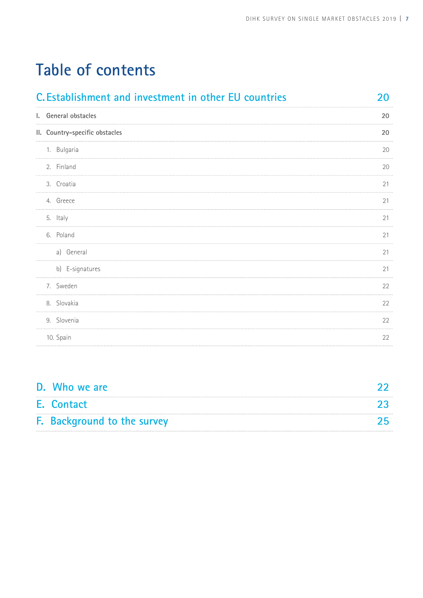| C. Establishment and investment in other EU countries | 20 |
|-------------------------------------------------------|----|
| I. General obstacles                                  | 20 |
| II. Country-specific obstacles                        | 20 |
| 1. Bulgaria                                           | 20 |
| 2. Finland                                            | 20 |
| 3. Croatia                                            | 21 |
| 4. Greece                                             | 21 |
| 5. Italy                                              | 21 |
| 6. Poland                                             | 21 |
| a) General                                            | 21 |
| b) E-signatures                                       | 21 |
| 7. Sweden                                             | 22 |
| 8. Slovakia                                           | 22 |
| 9. Slovenia                                           | 22 |
| 10. Spain                                             | 22 |

| D. Who we are               |  |
|-----------------------------|--|
| E. Contact                  |  |
| F. Background to the survey |  |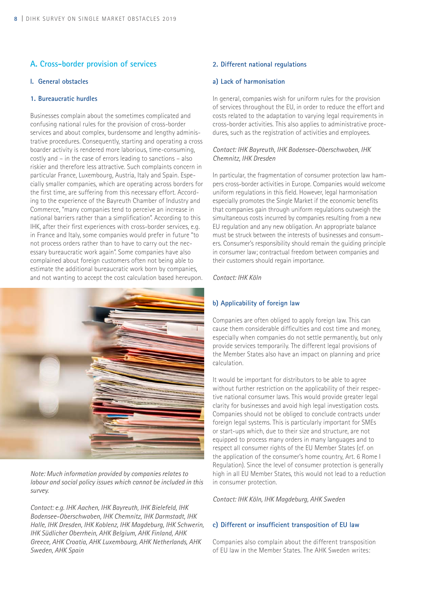## **A. Cross-border provision of services**

#### **I. General obstacles**

## **1. Bureaucratic hurdles**

Businesses complain about the sometimes complicated and confusing national rules for the provision of cross-border services and about complex, burdensome and lengthy administrative procedures. Consequently, starting and operating a cross boarder activity is rendered more laborious, time-consuming, costly and – in the case of errors leading to sanctions – also riskier and therefore less attractive. Such complaints concern in particular France, Luxembourg, Austria, Italy and Spain. Especially smaller companies, which are operating across borders for the first time, are suffering from this necessary effort. According to the experience of the Bayreuth Chamber of Industry and Commerce, "many companies tend to perceive an increase in national barriers rather than a simplification". According to this IHK, after their first experiences with cross-border services, e.g. in France and Italy, some companies would prefer in future "to not process orders rather than to have to carry out the necessary bureaucratic work again". Some companies have also complained about foreign customers often not being able to estimate the additional bureaucratic work born by companies, and not wanting to accept the cost calculation based hereupon.



*Note: Much information provided by companies relates to labour and social policy issues which cannot be included in this survey.*

*Contact: e.g. IHK Aachen, IHK Bayreuth, IHK Bielefeld, IHK Bodensee-Oberschwaben, IHK Chemnitz, IHK Darmstadt, IHK Halle, IHK Dresden, IHK Koblenz, IHK Magdeburg, IHK Schwerin, IHK Südlicher Oberrhein, AHK Belgium, AHK Finland, AHK Greece, AHK Croatia, AHK Luxembourg, AHK Netherlands, AHK Sweden, AHK Spain*

#### **2. Different national regulations**

#### **a) Lack of harmonisation**

In general, companies wish for uniform rules for the provision of services throughout the EU, in order to reduce the effort and costs related to the adaptation to varying legal requirements in cross-border activities. This also applies to administrative procedures, such as the registration of activities and employees.

## *Contact: IHK Bayreuth, IHK Bodensee-Oberschwaben, IHK Chemnitz, IHK Dresden*

In particular, the fragmentation of consumer protection law hampers cross-border activities in Europe. Companies would welcome uniform regulations in this field. However, legal harmonisation especially promotes the Single Market if the economic benefits that companies gain through uniform regulations outweigh the simultaneous costs incurred by companies resulting from a new EU regulation and any new obligation. An appropriate balance must be struck between the interests of businesses and consumers. Consumer's responsibility should remain the guiding principle in consumer law; contractual freedom between companies and their customers should regain importance.

*Contact: IHK Köln*

## **b) Applicability of foreign law**

Companies are often obliged to apply foreign law. This can cause them considerable difficulties and cost time and money, especially when companies do not settle permanently, but only provide services temporarily. The different legal provisions of the Member States also have an impact on planning and price calculation.

It would be important for distributors to be able to agree without further restriction on the applicability of their respective national consumer laws. This would provide greater legal clarity for businesses and avoid high legal investigation costs. Companies should not be obliged to conclude contracts under foreign legal systems. This is particularly important for SMEs or start-ups which, due to their size and structure, are not equipped to process many orders in many languages and to respect all consumer rights of the EU Member States (cf. on the application of the consumer's home country, Art. 6 Rome I Regulation). Since the level of consumer protection is generally high in all EU Member States, this would not lead to a reduction in consumer protection.

*Contact: IHK Köln, IHK Magdeburg, AHK Sweden*

#### **c) Different or insufficient transposition of EU law**

Companies also complain about the different transposition of EU law in the Member States. The AHK Sweden writes: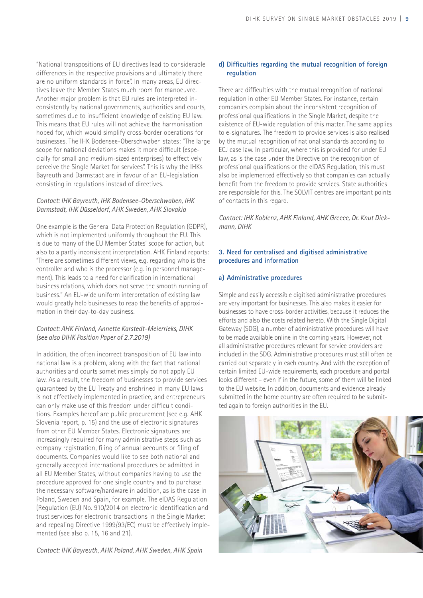"National transpositions of EU directives lead to considerable differences in the respective provisions and ultimately there are no uniform standards in force". In many areas, EU directives leave the Member States much room for manoeuvre. Another major problem is that EU rules are interpreted inconsistently by national governments, authorities and courts, sometimes due to insufficient knowledge of existing EU law. This means that EU rules will not achieve the harmonisation hoped for, which would simplify cross-border operations for businesses. The IHK Bodensee-Oberschwaben states: "The large scope for national deviations makes it more difficult (especially for small and medium-sized enterprises) to effectively perceive the Single Market for services". This is why the IHKs Bayreuth and Darmstadt are in favour of an EU-legislation consisting in regulations instead of directives.

#### *Contact: IHK Bayreuth, IHK Bodensee-Oberschwaben, IHK Darmstadt, IHK Düsseldorf, AHK Sweden, AHK Slovakia*

One example is the General Data Protection Regulation (GDPR), which is not implemented uniformly throughout the EU. This is due to many of the EU Member States' scope for action, but also to a partly inconsistent interpretation. AHK Finland reports: "There are sometimes different views, e.g. regarding who is the controller and who is the processor (e.g. in personnel management). This leads to a need for clarification in international business relations, which does not serve the smooth running of business." An EU-wide uniform interpretation of existing law would greatly help businesses to reap the benefits of approximation in their day-to-day business.

## *Contact: AHK Finland, Annette Karstedt-Meierrieks, DIHK (see also DIHK Position Paper of 2.7.2019)*

In addition, the often incorrect transposition of EU law into national law is a problem, along with the fact that national authorities and courts sometimes simply do not apply EU law. As a result, the freedom of businesses to provide services guaranteed by the EU Treaty and enshrined in many EU laws is not effectively implemented in practice, and entrepreneurs can only make use of this freedom under difficult conditions. Examples hereof are public procurement (see e.g. AHK Slovenia report, p. 15) and the use of electronic signatures from other EU Member States. Electronic signatures are increasingly required for many administrative steps such as company registration, filing of annual accounts or filing of documents. Companies would like to see both national and generally accepted international procedures be admitted in all EU Member States, without companies having to use the procedure approved for one single country and to purchase the necessary software/hardware in addition, as is the case in Poland, Sweden and Spain, for example. The elDAS Regulation (Regulation (EU) No. 910/2014 on electronic identification and trust services for electronic transactions in the Single Market and repealing Directive 1999/93/EC) must be effectively implemented (see also p. 15, 16 and 21).

#### *Contact: IHK Bayreuth, AHK Poland, AHK Sweden, AHK Spain*

## **d) Difficulties regarding the mutual recognition of foreign regulation**

There are difficulties with the mutual recognition of national regulation in other EU Member States. For instance, certain companies complain about the inconsistent recognition of professional qualifications in the Single Market, despite the existence of EU-wide regulation of this matter. The same applies to e-signatures. The freedom to provide services is also realised by the mutual recognition of national standards according to ECJ case law. In particular, where this is provided for under EU law, as is the case under the Directive on the recognition of professional qualifications or the eIDAS Regulation, this must also be implemented effectively so that companies can actually benefit from the freedom to provide services. State authorities are responsible for this. The SOLVIT centres are important points of contacts in this regard.

*Contact: IHK Koblenz, AHK Finland, AHK Greece, Dr. Knut Diekmann, DIHK*

## **3. Need for centralised and digitised administrative procedures and information**

## **a) Administrative procedures**

Simple and easily accessible digitised administrative procedures are very important for businesses. This also makes it easier for businesses to have cross-border activities, because it reduces the efforts and also the costs related hereto. With the Single Digital Gateway (SDG), a number of administrative procedures will have to be made available online in the coming years. However, not all administrative procedures relevant for service providers are included in the SDG. Administrative procedures must still often be carried out separately in each country. And with the exception of certain limited EU-wide requirements, each procedure and portal looks different – even if in the future, some of them will be linked to the EU website. In addition, documents and evidence already submitted in the home country are often required to be submitted again to foreign authorities in the EU.

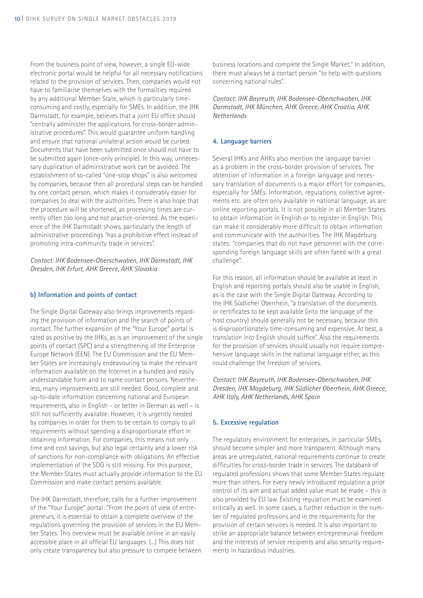From the business point of view, however, a single EU-wide electronic portal would be helpful for all necessary notifications related to the provision of services. Then, companies would not have to familiarise themselves with the formalities required by any additional Member State, which is particularly timeconsuming and costly, especially for SMEs. In addition, the IHK Darmstadt, for example, believes that a joint EU office should "centrally administer the applications for cross-border administrative procedures". This would guarantee uniform handling and ensure that national unilateral action would be curbed. Documents that have been submitted once should not have to be submitted again (once-only principle). In this way, unnecessary duplication of administrative work can be avoided. The establishment of so-called "one-stop shops" is also welcomed by companies, because then all procedural steps can be handled by one contact person, which makes it considerably easier for companies to deal with the authorities. There is also hope that the procedure will be shortened, as processing times are currently often too long and not practice-oriented. As the experience of the IHK Darmstadt shows, particularly the length of administrative proceedings "has a prohibitive effect instead of promoting intra-community trade in services".

*Contact: IHK Bodensee-Oberschwaben, IHK Darmstadt, IHK Dresden, IHK Erfurt, AHK Greece, AHK Slovakia* 

#### **b) Information and points of contact**

The Single Digital Gateway also brings improvements regarding the provision of information and the search of points of contact. The further expansion of the "Your Europe" portal is rated as positive by the IHKs, as is an improvement of the single points of contact (SPC) and a strengthening of the Enterprise Europe Network (EEN). The EU Commission and the EU Member States are increasingly endeavouring to make the relevant information available on the Internet in a bundled and easily understandable form and to name contact persons. Nevertheless, many improvements are still needed. Good, complete and up-to-date information concerning national and European requirements, also in English – or better in German as well – is still not sufficiently available. However, it is urgently needed by companies in order for them to be certain to comply to all requirements without spending a disproportionate effort in obtaining information. For companies, this means not only time and cost savings, but also legal certainty and a lower risk of sanctions for non-compliance with obligations. An effective implementation of the SDG is still missing. For this purpose, the Member States must actually provide information to the EU Commission and make contact persons available.

The IHK Darmstadt, therefore, calls for a further improvement of the "Your Europe" portal: "From the point of view of entrepreneurs, it is essential to obtain a complete overview of the regulations governing the provision of services in the EU Member States. This overview must be available online in an easily accessible place in all official EU languages. (...) This does not only create transparency but also pressure to compete between business locations and complete the Single Market." In addition, there must always be a contact person "to help with questions concerning national rules".

*Contact: IHK Bayreuth, IHK Bodensee-Oberschwaben, IHK Darmstadt, IHK München, AHK Greece, AHK Croatia, AHK Netherlands*

#### **4. Language barriers**

Several IHKs and AHKs also mention the language barrier as a problem in the cross-border provision of services. The obtention of information in a foreign language and necessary translation of documents is a major effort for companies, especially for SMEs. Information, regulations, collective agreements etc. are often only available in national language, as are online reporting portals. It is not possible in all Member States to obtain information in English or to register in English. This can make it considerably more difficult to obtain information and communicate with the authorities. The IHK Magdeburg states: "companies that do not have personnel with the corresponding foreign language skills are often faced with a great challenge".

For this reason, all information should be available at least in English and reporting portals should also be usable in English, as is the case with the Single Digital Gateway. According to the IHK Südlicher Oberrhein, "a translation of the documents or certificates to be kept available (into the language of the host country) should generally not be necessary, because this is disproportionately time-consuming and expensive. At best, a translation into English should suffice". Also the requirements for the provision of services should usually not require comprehensive language skills in the national language either, as this could challenge the freedom of services.

*Contact: IHK Bayreuth, IHK Bodensee-Oberschwaben, IHK Dresden, IHK Magdeburg, IHK Südlicher Oberrhein, AHK Greece, AHK Italy, AHK Netherlands, AHK Spain*

#### **5. Excessive regulation**

The regulatory environment for enterprises, in particular SMEs, should become simpler and more transparent. Although many areas are unregulated, national requirements continue to create difficulties for cross-border trade in services. The databank of regulated professions shows that some Member States regulate more than others. For every newly introduced regulation a prior control of its aim and actual added value must be made – this is also provided by EU law. Existing regulation must be examined critically as well. In some cases, a further reduction in the number of regulated professions and in the requirements for the provision of certain services is needed. It is also important to strike an appropriate balance between entrepreneurial freedom and the interests of service recipients and also security requirements in hazardous industries.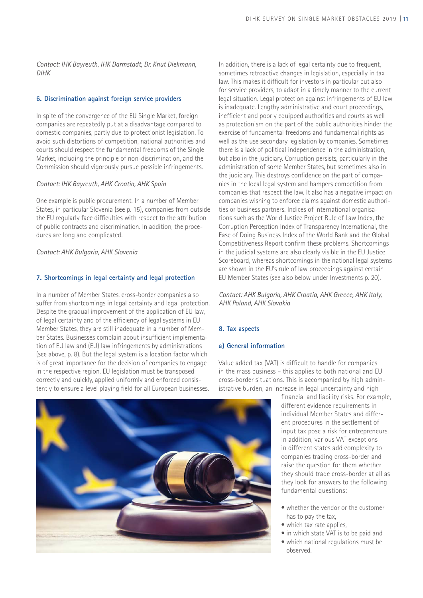*Contact: IHK Bayreuth, IHK Darmstadt, Dr. Knut Diekmann, DIHK*

#### **6. Discrimination against foreign service providers**

In spite of the convergence of the EU Single Market, foreign companies are repeatedly put at a disadvantage compared to domestic companies, partly due to protectionist legislation. To avoid such distortions of competition, national authorities and courts should respect the fundamental freedoms of the Single Market, including the principle of non-discrimination, and the Commission should vigorously pursue possible infringements.

#### *Contact: IHK Bayreuth, AHK Croatia, AHK Spain*

One example is public procurement. In a number of Member States, in particular Slovenia (see p. 15), companies from outside the EU regularly face difficulties with respect to the attribution of public contracts and discrimination. In addition, the procedures are long and complicated.

#### *Contact: AHK Bulgaria, AHK Slovenia*

#### **7. Shortcomings in legal certainty and legal protection**

In a number of Member States, cross-border companies also suffer from shortcomings in legal certainty and legal protection. Despite the gradual improvement of the application of EU law, of legal certainty and of the efficiency of legal systems in EU Member States, they are still inadequate in a number of Member States. Businesses complain about insufficient implementation of EU law and (EU) law infringements by administrations (see above, p. 8). But the legal system is a location factor which is of great importance for the decision of companies to engage in the respective region. EU legislation must be transposed correctly and quickly, applied uniformly and enforced consistently to ensure a level playing field for all European businesses.

In addition, there is a lack of legal certainty due to frequent, sometimes retroactive changes in legislation, especially in tax law. This makes it difficult for investors in particular but also for service providers, to adapt in a timely manner to the current legal situation. Legal protection against infringements of EU law is inadequate. Lengthy administrative and court proceedings, inefficient and poorly equipped authorities and courts as well as protectionism on the part of the public authorities hinder the exercise of fundamental freedoms and fundamental rights as well as the use secondary legislation by companies. Sometimes there is a lack of political independence in the administration, but also in the judiciary. Corruption persists, particularly in the administration of some Member States, but sometimes also in the judiciary. This destroys confidence on the part of companies in the local legal system and hampers competition from companies that respect the law. It also has a negative impact on companies wishing to enforce claims against domestic authorities or business partners. Indices of international organisations such as the World Justice Project Rule of Law Index, the Corruption Perception Index of Transparency International, the Ease of Doing Business Index of the World Bank and the Global Competitiveness Report confirm these problems. Shortcomings in the judicial systems are also clearly visible in the EU Justice Scoreboard, whereas shortcomings in the national legal systems are shown in the EU's rule of law proceedings against certain EU Member States (see also below under Investments p. 20).

*Contact: AHK Bulgaria, AHK Croatia, AHK Greece, AHK Italy, AHK Poland, AHK Slovakia*

#### **8. Tax aspects**

#### **a) General information**

Value added tax (VAT) is difficult to handle for companies in the mass business – this applies to both national and EU cross-border situations. This is accompanied by high administrative burden, an increase in legal uncertainty and high

financial and liability risks. For example, different evidence requirements in individual Member States and different procedures in the settlement of input tax pose a risk for entrepreneurs. In addition, various VAT exceptions in different states add complexity to companies trading cross-border and raise the question for them whether they should trade cross-border at all as they look for answers to the following fundamental questions:

- whether the vendor or the customer has to pay the tax,
- which tax rate applies,
- in which state VAT is to be paid and • which national regulations must be
	- observed.

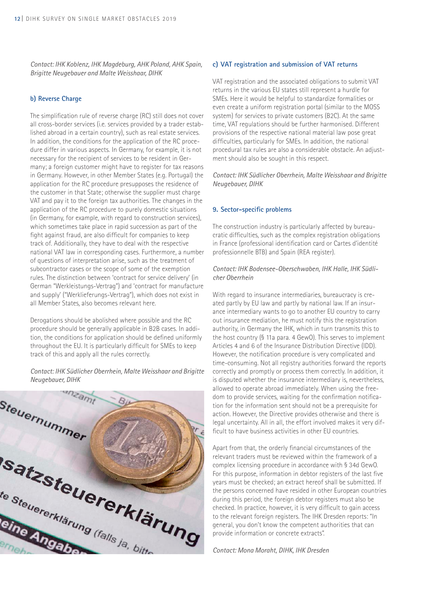*Contact: IHK Koblenz, IHK Magdeburg, AHK Poland, AHK Spain, Brigitte Neugebauer and Malte Weisshaar, DIHK*

#### **b) Reverse Charge**

The simplification rule of reverse charge (RC) still does not cover all cross-border services (i.e. services provided by a trader established abroad in a certain country), such as real estate services. In addition, the conditions for the application of the RC procedure differ in various aspects. In Germany, for example, it is not necessary for the recipient of services to be resident in Germany; a foreign customer might have to register for tax reasons in Germany. However, in other Member States (e.g. Portugal) the application for the RC procedure presupposes the residence of the customer in that State; otherwise the supplier must charge VAT and pay it to the foreign tax authorities. The changes in the application of the RC procedure to purely domestic situations (in Germany, for example, with regard to construction services), which sometimes take place in rapid succession as part of the fight against fraud, are also difficult for companies to keep track of. Additionally, they have to deal with the respective national VAT law in corresponding cases. Furthermore, a number of questions of interpretation arise, such as the treatment of subcontractor cases or the scope of some of the exemption rules. The distinction between 'contract for service delivery' (in German "Werkleistungs-Vertrag") and 'contract for manufacture and supply' ("Werklieferungs-Vertrag"), which does not exist in all Member States, also becomes relevant here.

Derogations should be abolished where possible and the RC procedure should be generally applicable in B2B cases. In addition, the conditions for application should be defined uniformly throughout the EU. It is particularly difficult for SMEs to keep track of this and apply all the rules correctly.

*Contact: IHK Südlicher Oberrhein, Malte Weisshaar and Brigitte Neugebauer, DIHK*



#### **c) VAT registration and submission of VAT returns**

VAT registration and the associated obligations to submit VAT returns in the various EU states still represent a hurdle for SMEs. Here it would be helpful to standardize formalities or even create a uniform registration portal (similar to the MOSS system) for services to private customers (B2C). At the same time, VAT regulations should be further harmonised. Different provisions of the respective national material law pose great difficulties, particularly for SMEs. In addition, the national procedural tax rules are also a considerable obstacle. An adjustment should also be sought in this respect.

*Contact: IHK Südlicher Oberrhein, Malte Weisshaar and Brigitte Neugebauer, DIHK* 

#### **9. Sector-specific problems**

The construction industry is particularly affected by bureaucratic difficulties, such as the complex registration obligations in France (professional identification card or Cartes d'identité professionnelle BTB) and Spain (REA register).

#### *Contact: IHK Bodensee-Oberschwaben, IHK Halle, IHK Südlicher Oberrhein*

With regard to insurance intermediaries, bureaucracy is created partly by EU law and partly by national law. If an insurance intermediary wants to go to another EU country to carry out insurance mediation, he must notify this the registration authority, in Germany the IHK, which in turn transmits this to the host country (§ 11a para. 4 GewO). This serves to implement Articles 4 and 6 of the Insurance Distribution Directive (IDD). However, the notification procedure is very complicated and time-consuming. Not all registry authorities forward the reports correctly and promptly or process them correctly. In addition, it is disputed whether the insurance intermediary is, nevertheless, allowed to operate abroad immediately. When using the freedom to provide services, waiting for the confirmation notification for the information sent should not be a prerequisite for action. However, the Directive provides otherwise and there is legal uncertainty. All in all, the effort involved makes it very difficult to have business activities in other EU countries.

Apart from that, the orderly financial circumstances of the relevant traders must be reviewed within the framework of a complex licensing procedure in accordance with § 34d GewO. For this purpose, information in debtor registers of the last five years must be checked; an extract hereof shall be submitted. If the persons concerned have resided in other European countries during this period, the foreign debtor registers must also be checked. In practice, however, it is very difficult to gain access to the relevant foreign registers. The IHK Dresden reports: "In general, you don't know the competent authorities that can provide information or concrete extracts".

*Contact: Mona Moraht, DIHK, IHK Dresden*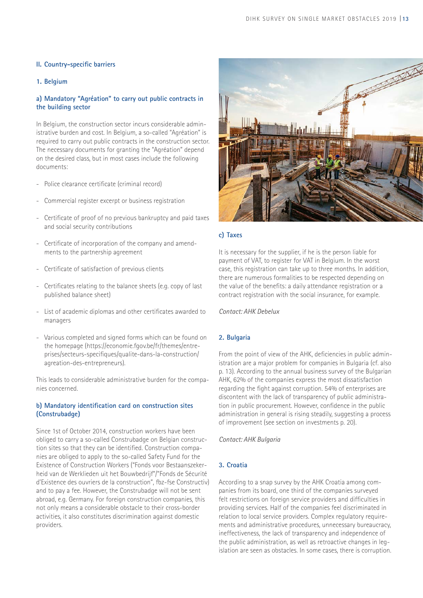## **II. Country-specific barriers**

## **1. Belgium**

## **a) Mandatory "Agréation" to carry out public contracts in the building sector**

In Belgium, the construction sector incurs considerable administrative burden and cost. In Belgium, a so-called "Agréation" is required to carry out public contracts in the construction sector. The necessary documents for granting the "Agréation" depend on the desired class, but in most cases include the following documents:

- Police clearance certificate (criminal record)
- Commercial register excerpt or business registration
- Certificate of proof of no previous bankruptcy and paid taxes and social security contributions
- Certificate of incorporation of the company and amendments to the partnership agreement
- Certificate of satisfaction of previous clients
- Certificates relating to the balance sheets (e.g. copy of last published balance sheet)
- List of academic diplomas and other certificates awarded to managers
- Various completed and signed forms which can be found on the homepage (https://economie.fgov.be/fr/themes/entreprises/secteurs-specifiques/qualite-dans-la-construction/ agreation-des-entrepreneurs).

This leads to considerable administrative burden for the companies concerned.

## **b) Mandatory identification card on construction sites (Construbadge)**

Since 1st of October 2014, construction workers have been obliged to carry a so-called Construbadge on Belgian construction sites so that they can be identified. Construction companies are obliged to apply to the so-called Safety Fund for the Existence of Construction Workers ("Fonds voor Bestaanszekerheid van de Werklieden uit het Bouwbedrijf"/"Fonds de Sécurité d'Existence des ouvriers de la construction", fbz-fse Constructiv) and to pay a fee. However, the Construbadge will not be sent abroad, e.g. Germany. For foreign construction companies, this not only means a considerable obstacle to their cross-border activities, it also constitutes discrimination against domestic providers.



## **c) Taxes**

It is necessary for the supplier, if he is the person liable for payment of VAT, to register for VAT in Belgium. In the worst case, this registration can take up to three months. In addition, there are numerous formalities to be respected depending on the value of the benefits: a daily attendance registration or a contract registration with the social insurance, for example.

*Contact: AHK Debelux*

### **2. Bulgaria**

From the point of view of the AHK, deficiencies in public administration are a major problem for companies in Bulgaria (cf. also p. 13). According to the annual business survey of the Bulgarian AHK, 62% of the companies express the most dissatisfaction regarding the fight against corruption. 54% of enterprises are discontent with the lack of transparency of public administration in public procurement. However, confidence in the public administration in general is rising steadily, suggesting a process of improvement (see section on investments p. 20).

*Contact: AHK Bulgaria*

## **3. Croatia**

According to a snap survey by the AHK Croatia among companies from its board, one third of the companies surveyed felt restrictions on foreign service providers and difficulties in providing services. Half of the companies feel discriminated in relation to local service providers. Complex regulatory requirements and administrative procedures, unnecessary bureaucracy, ineffectiveness, the lack of transparency and independence of the public administration, as well as retroactive changes in legislation are seen as obstacles. In some cases, there is corruption.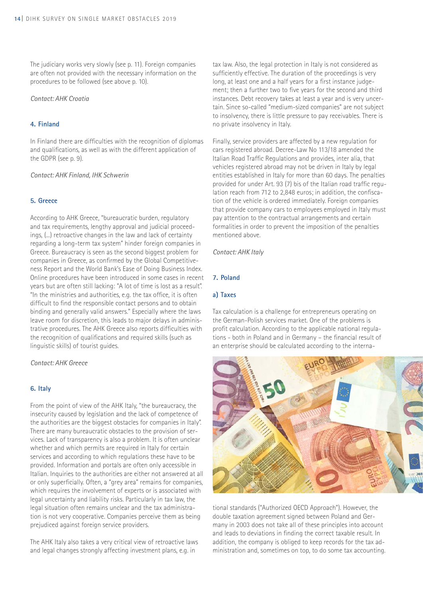The judiciary works very slowly (see p. 11). Foreign companies are often not provided with the necessary information on the procedures to be followed (see above p. 10).

#### *Contact: AHK Croatia*

#### **4. Finland**

In Finland there are difficulties with the recognition of diplomas and qualifications, as well as with the different application of the GDPR (see p. 9).

*Contact: AHK Finland, IHK Schwerin*

#### **5. Greece**

According to AHK Greece, "bureaucratic burden, regulatory and tax requirements, lengthy approval and judicial proceedings, (...) retroactive changes in the law and lack of certainty regarding a long-term tax system" hinder foreign companies in Greece. Bureaucracy is seen as the second biggest problem for companies in Greece, as confirmed by the Global Competitiveness Report and the World Bank's Ease of Doing Business Index. Online procedures have been introduced in some cases in recent years but are often still lacking: "A lot of time is lost as a result". "In the ministries and authorities, e.g. the tax office, it is often difficult to find the responsible contact persons and to obtain binding and generally valid answers." Especially where the laws leave room for discretion, this leads to major delays in administrative procedures. The AHK Greece also reports difficulties with the recognition of qualifications and required skills (such as linguistic skills) of tourist guides.

*Contact: AHK Greece*

#### **6. Italy**

From the point of view of the AHK Italy, "the bureaucracy, the insecurity caused by legislation and the lack of competence of the authorities are the biggest obstacles for companies in Italy". There are many bureaucratic obstacles to the provision of services. Lack of transparency is also a problem. It is often unclear whether and which permits are required in Italy for certain services and according to which regulations these have to be provided. Information and portals are often only accessible in Italian. Inquiries to the authorities are either not answered at all or only superficially. Often, a "grey area" remains for companies, which requires the involvement of experts or is associated with legal uncertainty and liability risks. Particularly in tax law, the legal situation often remains unclear and the tax administration is not very cooperative. Companies perceive them as being prejudiced against foreign service providers.

The AHK Italy also takes a very critical view of retroactive laws and legal changes strongly affecting investment plans, e.g. in

tax law. Also, the legal protection in Italy is not considered as sufficiently effective. The duration of the proceedings is very long, at least one and a half years for a first instance judgement; then a further two to five years for the second and third instances. Debt recovery takes at least a year and is very uncertain. Since so-called "medium-sized companies" are not subject to insolvency, there is little pressure to pay receivables. There is no private insolvency in Italy.

Finally, service providers are affected by a new regulation for cars registered abroad. Decree-Law No 113/18 amended the Italian Road Traffic Regulations and provides, inter alia, that vehicles registered abroad may not be driven in Italy by legal entities established in Italy for more than 60 days. The penalties provided for under Art. 93 (7) bis of the Italian road traffic regulation reach from 712 to 2,848 euros; in addition, the confiscation of the vehicle is ordered immediately. Foreign companies that provide company cars to employees employed in Italy must pay attention to the contractual arrangements and certain formalities in order to prevent the imposition of the penalties mentioned above.

*Contact: AHK Italy*

#### **7. Poland**

#### **a) Taxes**

Tax calculation is a challenge for entrepreneurs operating on the German-Polish services market. One of the problems is profit calculation. According to the applicable national regulations - both in Poland and in Germany – the financial result of an enterprise should be calculated according to the interna-



tional standards ("Authorized OECD Approach"). However, the double taxation agreement signed between Poland and Germany in 2003 does not take all of these principles into account and leads to deviations in finding the correct taxable result. In addition, the company is obliged to keep records for the tax administration and, sometimes on top, to do some tax accounting.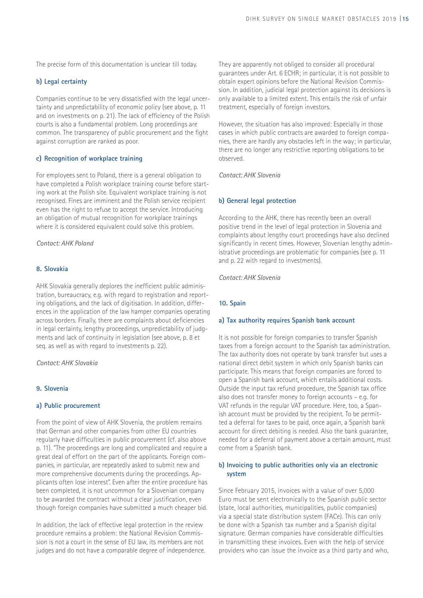The precise form of this documentation is unclear till today.

## **b) Legal certainty**

Companies continue to be very dissatisfied with the legal uncertainty and unpredictability of economic policy (see above, p. 11 and on investments on p. 21). The lack of efficiency of the Polish courts is also a fundamental problem. Long proceedings are common. The transparency of public procurement and the fight against corruption are ranked as poor.

## **c) Recognition of workplace training**

For employees sent to Poland, there is a general obligation to have completed a Polish workplace training course before starting work at the Polish site. Equivalent workplace training is not recognised. Fines are imminent and the Polish service recipient even has the right to refuse to accept the service. Introducing an obligation of mutual recognition for workplace trainings where it is considered equivalent could solve this problem.

#### *Contact: AHK Poland*

### **8. Slovakia**

AHK Slovakia generally deplores the inefficient public administration, bureaucracy, e.g. with regard to registration and reporting obligations, and the lack of digitisation. In addition, differences in the application of the law hamper companies operating across borders. Finally, there are complaints about deficiencies in legal certainty, lengthy proceedings, unpredictability of judgments and lack of continuity in legislation (see above, p. 8 et seq. as well as with regard to investments p. 22).

#### *Contact: AHK Slovakia*

#### **9. Slovenia**

#### **a) Public procurement**

From the point of view of AHK Slovenia, the problem remains that German and other companies from other EU countries regularly have difficulties in public procurement (cf. also above p. 11). "The proceedings are long and complicated and require a great deal of effort on the part of the applicants. Foreign companies, in particular, are repeatedly asked to submit new and more comprehensive documents during the proceedings. Applicants often lose interest". Even after the entire procedure has been completed, it is not uncommon for a Slovenian company to be awarded the contract without a clear justification, even though foreign companies have submitted a much cheaper bid.

In addition, the lack of effective legal protection in the review procedure remains a problem: the National Revision Commission is not a court in the sense of EU law, its members are not judges and do not have a comparable degree of independence. They are apparently not obliged to consider all procedural guarantees under Art. 6 ECHR; in particular, it is not possible to obtain expert opinions before the National Revision Commission. In addition, judicial legal protection against its decisions is only available to a limited extent. This entails the risk of unfair treatment, especially of foreign investors.

However, the situation has also improved: Especially in those cases in which public contracts are awarded to foreign companies, there are hardly any obstacles left in the way; in particular, there are no longer any restrictive reporting obligations to be observed.

*Contact: AHK Slovenia*

#### **b) General legal protection**

According to the AHK, there has recently been an overall positive trend in the level of legal protection in Slovenia and complaints about lengthy court proceedings have also declined significantly in recent times. However, Slovenian lengthy administrative proceedings are problematic for companies (see p. 11 and p. 22 with regard to investments).

*Contact: AHK Slovenia*

#### **10. Spain**

#### **a) Tax authority requires Spanish bank account**

It is not possible for foreign companies to transfer Spanish taxes from a foreign account to the Spanish tax administration. The tax authority does not operate by bank transfer but uses a national direct debit system in which only Spanish banks can participate. This means that foreign companies are forced to open a Spanish bank account, which entails additional costs. Outside the input tax refund procedure, the Spanish tax office also does not transfer money to foreign accounts – e.g. for VAT refunds in the regular VAT procedure. Here, too, a Spanish account must be provided by the recipient. To be permitted a deferral for taxes to be paid, once again, a Spanish bank account for direct debiting is needed. Also the bank guarantee, needed for a deferral of payment above a certain amount, must come from a Spanish bank.

#### **b) Invoicing to public authorities only via an electronic system**

Since February 2015, invoices with a value of over 5,000 Euro must be sent electronically to the Spanish public sector (state, local authorities, municipalities, public companies) via a special state distribution system (FACe). This can only be done with a Spanish tax number and a Spanish digital signature. German companies have considerable difficulties in transmitting these invoices. Even with the help of service providers who can issue the invoice as a third party and who,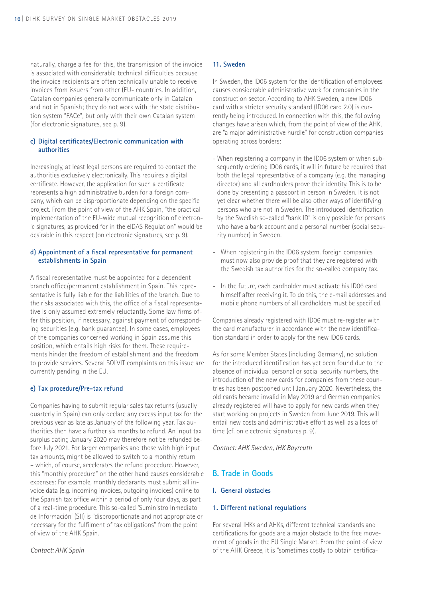naturally, charge a fee for this, the transmission of the invoice is associated with considerable technical difficulties because the invoice recipients are often technically unable to receive invoices from issuers from other (EU- countries. In addition, Catalan companies generally communicate only in Catalan and not in Spanish; they do not work with the state distribution system "FACe", but only with their own Catalan system (for electronic signatures, see p. 9).

#### **c) Digital certificates/Electronic communication with authorities**

Increasingly, at least legal persons are required to contact the authorities exclusively electronically. This requires a digital certificate. However, the application for such a certificate represents a high administrative burden for a foreign company, which can be disproportionate depending on the specific project. From the point of view of the AHK Spain, "the practical implementation of the EU-wide mutual recognition of electronic signatures, as provided for in the elDAS Regulation" would be desirable in this respect (on electronic signatures, see p. 9).

## **d) Appointment of a fiscal representative for permanent establishments in Spain**

A fiscal representative must be appointed for a dependent branch office/permanent establishment in Spain. This representative is fully liable for the liabilities of the branch. Due to the risks associated with this, the office of a fiscal representative is only assumed extremely reluctantly. Some law firms offer this position, if necessary, against payment of corresponding securities (e.g. bank guarantee). In some cases, employees of the companies concerned working in Spain assume this position, which entails high risks for them. These requirements hinder the freedom of establishment and the freedom to provide services. Several SOLVIT complaints on this issue are currently pending in the EU.

#### **e) Tax procedure/Pre-tax refund**

Companies having to submit regular sales tax returns (usually quarterly in Spain) can only declare any excess input tax for the previous year as late as January of the following year. Tax authorities then have a further six months to refund. An input tax surplus dating January 2020 may therefore not be refunded before July 2021. For larger companies and those with high input tax amounts, might be allowed to switch to a monthly return – which, of course, accelerates the refund procedure. However, this "monthly procedure" on the other hand causes considerable expenses: For example, monthly declarants must submit all invoice data (e.g. incoming invoices, outgoing invoices) online to the Spanish tax office within a period of only four days, as part of a real-time procedure. This so-called 'Suministro Inmediato de Información' (SII) is "disproportionate and not appropriate or necessary for the fulfilment of tax obligations" from the point of view of the AHK Spain.

#### *Contact: AHK Spain*

#### **11. Sweden**

In Sweden, the ID06 system for the identification of employees causes considerable administrative work for companies in the construction sector. According to AHK Sweden, a new ID06 card with a stricter security standard (ID06 card 2.0) is currently being introduced. In connection with this, the following changes have arisen which, from the point of view of the AHK, are "a major administrative hurdle" for construction companies operating across borders:

- When registering a company in the ID06 system or when subsequently ordering ID06 cards, it will in future be required that both the legal representative of a company (e.g. the managing director) and all cardholders prove their identity. This is to be done by presenting a passport in person in Sweden. It is not yet clear whether there will be also other ways of identifying persons who are not in Sweden. The introduced identification by the Swedish so-called "bank ID" is only possible for persons who have a bank account and a personal number (social security number) in Sweden.
- When registering in the ID06 system, foreign companies must now also provide proof that they are registered with the Swedish tax authorities for the so-called company tax.
- In the future, each cardholder must activate his ID06 card himself after receiving it. To do this, the e-mail addresses and mobile phone numbers of all cardholders must be specified.

Companies already registered with ID06 must re-register with the card manufacturer in accordance with the new identification standard in order to apply for the new ID06 cards.

As for some Member States (including Germany), no solution for the introduced identification has yet been found due to the absence of individual personal or social security numbers, the introduction of the new cards for companies from these countries has been postponed until January 2020. Nevertheless, the old cards became invalid in May 2019 and German companies already registered will have to apply for new cards when they start working on projects in Sweden from June 2019. This will entail new costs and administrative effort as well as a loss of time (cf. on electronic signatures p. 9).

*Contact: AHK Sweden, IHK Bayreuth*

## **B. Trade in Goods**

#### **I. General obstacles**

#### **1. Different national regulations**

For several IHKs and AHKs, different technical standards and certifications for goods are a major obstacle to the free movement of goods in the EU Single Market. From the point of view of the AHK Greece, it is "sometimes costly to obtain certifica-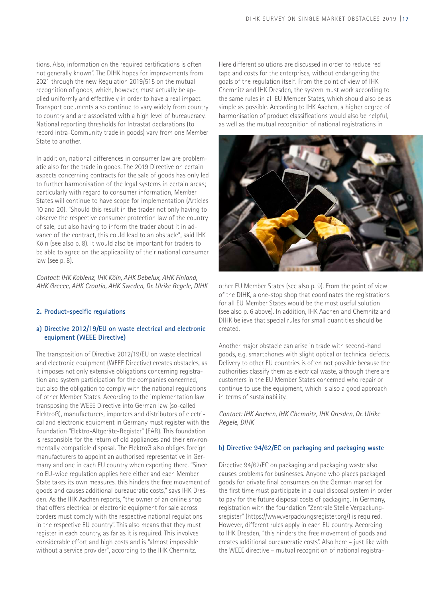tions. Also, information on the required certifications is often not generally known". The DIHK hopes for improvements from 2021 through the new Regulation 2019/515 on the mutual recognition of goods, which, however, must actually be applied uniformly and effectively in order to have a real impact. Transport documents also continue to vary widely from country to country and are associated with a high level of bureaucracy. National reporting thresholds for Intrastat declarations (to record intra-Community trade in goods) vary from one Member State to another.

In addition, national differences in consumer law are problematic also for the trade in goods. The 2019 Directive on certain aspects concerning contracts for the sale of goods has only led to further harmonisation of the legal systems in certain areas; particularly with regard to consumer information, Member States will continue to have scope for implementation (Articles 10 and 20). "Should this result in the trader not only having to observe the respective consumer protection law of the country of sale, but also having to inform the trader about it in advance of the contract, this could lead to an obstacle", said IHK Köln (see also p. 8). It would also be important for traders to be able to agree on the applicability of their national consumer law (see p. 8).

*Contact: IHK Koblenz, IHK Köln, AHK Debelux, AHK Finland, AHK Greece, AHK Croatia, AHK Sweden, Dr. Ulrike Regele, DIHK*

#### **2. Product-specific regulations**

#### **a) Directive 2012/19/EU on waste electrical and electronic equipment (WEEE Directive)**

The transposition of Directive 2012/19/EU on waste electrical and electronic equipment (WEEE Directive) creates obstacles, as it imposes not only extensive obligations concerning registration and system participation for the companies concerned, but also the obligation to comply with the national regulations of other Member States. According to the implementation law transposing the WEEE Directive into German law (so-called ElektroG), manufacturers, importers and distributors of electrical and electronic equipment in Germany must register with the Foundation "Elektro-Altgeräte-Register" (EAR). This foundation is responsible for the return of old appliances and their environmentally compatible disposal. The ElektroG also obliges foreign manufacturers to appoint an authorised representative in Germany and one in each EU country when exporting there. "Since no EU-wide regulation applies here either and each Member State takes its own measures, this hinders the free movement of goods and causes additional bureaucratic costs," says IHK Dresden. As the IHK Aachen reports, "the owner of an online shop that offers electrical or electronic equipment for sale across borders must comply with the respective national regulations in the respective EU country". This also means that they must register in each country, as far as it is required. This involves considerable effort and high costs and is "almost impossible without a service provider", according to the IHK Chemnitz.

Here different solutions are discussed in order to reduce red tape and costs for the enterprises, without endangering the goals of the regulation itself. From the point of view of IHK Chemnitz and IHK Dresden, the system must work according to the same rules in all EU Member States, which should also be as simple as possible. According to IHK Aachen, a higher degree of harmonisation of product classifications would also be helpful, as well as the mutual recognition of national registrations in



other EU Member States (see also p. 9). From the point of view of the DIHK, a one-stop shop that coordinates the registrations for all EU Member States would be the most useful solution (see also p. 6 above). In addition, IHK Aachen and Chemnitz and DIHK believe that special rules for small quantities should be created.

Another major obstacle can arise in trade with second-hand goods, e.g. smartphones with slight optical or technical defects. Delivery to other EU countries is often not possible because the authorities classify them as electrical waste, although there are customers in the EU Member States concerned who repair or continue to use the equipment, which is also a good approach in terms of sustainability.

*Contact: IHK Aachen, IHK Chemnitz, IHK Dresden, Dr. Ulrike Regele, DIHK*

#### **b) Directive 94/62/EC on packaging and packaging waste**

Directive 94/62/EC on packaging and packaging waste also causes problems for businesses. Anyone who places packaged goods for private final consumers on the German market for the first time must participate in a dual disposal system in order to pay for the future disposal costs of packaging. In Germany, registration with the foundation "Zentrale Stelle Verpackungsregister" (https://www.verpackungsregister.org/) is required. However, different rules apply in each EU country. According to IHK Dresden, "this hinders the free movement of goods and creates additional bureaucratic costs". Also here – just like with the WEEE directive – mutual recognition of national registra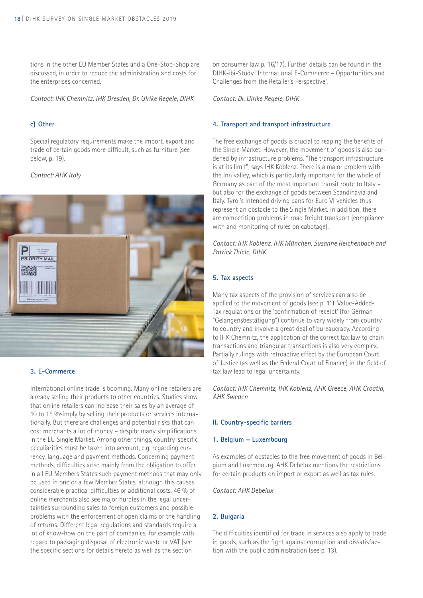tions in the other EU Member States and a One-Stop-Shop are discussed, in order to reduce the administration and costs for the enterprises concerned.

*Contact: IHK Chemnitz, IHK Dresden, Dr. Ulrike Regele, DIHK*

## **c) Other**

Special regulatory requirements make the import, export and trade of certain goods more difficult, such as furniture (see below, p. 19).

#### *Contact: AHK Italy*



#### **3. E-Commerce**

International online trade is booming. Many online retailers are already selling their products to other countries. Studies show that online retailers can increase their sales by an average of 10 to 15 %simply by selling their products or services internationally. But there are challenges and potential risks that can cost merchants a lot of money – despite many simplifications in the EU Single Market. Among other things, country-specific peculiarities must be taken into account, e.g. regarding currency, language and payment methods. Concerning payment methods, difficulties arise mainly from the obligation to offer in all EU Members States such payment methods that may only be used in one or a few Member States, although this causes considerable practical difficulties or additional costs. 46 % of online merchants also see major hurdles in the legal uncertainties surrounding sales to foreign customers and possible problems with the enforcement of open claims or the handling of returns. Different legal regulations and standards require a lot of know-how on the part of companies, for example with regard to packaging disposal of electronic waste or VAT (see the specific sections for details hereto as well as the section

on consumer law p. 16/17). Further details can be found in the DIHK-ibi-Study "International E-Commerce – Opportunities and Challenges from the Retailer's Perspective".

*Contact: Dr. Ulrike Regele, DIHK*

#### **4. Transport and transport infrastructure**

The free exchange of goods is crucial to reaping the benefits of the Single Market. However, the movement of goods is also burdened by infrastructure problems. "The transport infrastructure is at its limit", says IHK Koblenz. There is a major problem with the Inn valley, which is particularly important for the whole of Germany as part of the most important transit route to Italy – but also for the exchange of goods between Scandinavia and Italy. Tyrol's intended driving bans for Euro VI vehicles thus represent an obstacle to the Single Market. In addition, there are competition problems in road freight transport (compliance with and monitoring of rules on cabotage).

*Contact: IHK Koblenz, IHK München, Susanne Reichenbach and Patrick Thiele, DIHK*

## **5. Tax aspects**

Many tax aspects of the provision of services can also be applied to the movement of goods (see p. 11). Value-Added-Tax regulations or the 'confirmation of receipt' (for German "Gelangensbestätigung") continue to vary widely from country to country and involve a great deal of bureaucracy. According to IHK Chemnitz, the application of the correct tax law to chain transactions and triangular transactions is also very complex. Partially rulings with retroactive effect by the European Court of Justice (as well as the Federal Court of Finance) in the field of tax law lead to legal uncertainty.

*Contact: IHK Chemnitz, IHK Koblenz, AHK Greece, AHK Croatia, AHK Sweden*

## **II. Country-specific barriers**

#### **1. Belgium – Luxembourg**

As examples of obstacles to the free movement of goods in Belgium and Luxembourg, AHK Debelux mentions the restrictions for certain products on import or export as well as tax rules.

*Contact: AHK Debelux*

## **2. Bulgaria**

The difficulties identified for trade in services also apply to trade in goods, such as the fight against corruption and dissatisfaction with the public administration (see p. 13).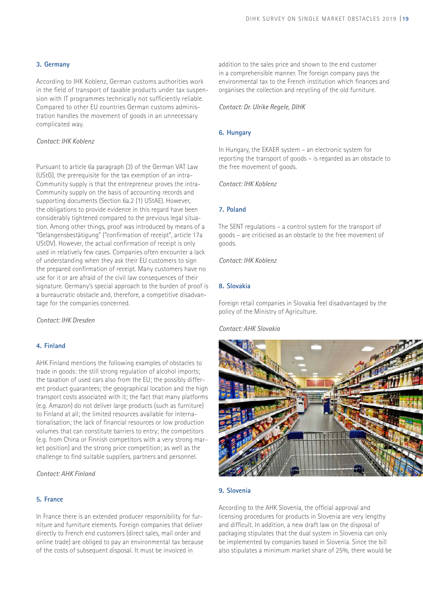## **3. Germany**

According to IHK Koblenz, German customs authorities work in the field of transport of taxable products under tax suspension with IT programmes technically not sufficiently reliable. Compared to other EU countries German customs administration handles the movement of goods in an unnecessary complicated way.

#### *Contact: IHK Koblenz*

Pursuant to article 6a paragraph (3) of the German VAT Law (UStG), the prerequisite for the tax exemption of an intra-Community supply is that the entrepreneur proves the intra-Community supply on the basis of accounting records and supporting documents (Section 6a.2 (1) UStAE). However, the obligations to provide evidence in this regard have been considerably tightened compared to the previous legal situation. Among other things, proof was introduced by means of a "Gelangensbestätigung" ("confirmation of receipt", article 17a UStDV). However, the actual confirmation of receipt is only used in relatively few cases. Companies often encounter a lack of understanding when they ask their EU customers to sign the prepared confirmation of receipt. Many customers have no use for it or are afraid of the civil law consequences of their signature. Germany's special approach to the burden of proof is a bureaucratic obstacle and, therefore, a competitive disadvantage for the companies concerned.

*Contact: IHK Dresden* 

## **4. Finland**

AHK Finland mentions the following examples of obstacles to trade in goods: the still strong regulation of alcohol imports; the taxation of used cars also from the EU; the possibly different product guarantees; the geographical location and the high transport costs associated with it; the fact that many platforms (e.g. Amazon) do not deliver large products (such as furniture) to Finland at all; the limited resources available for internationalisation; the lack of financial resources or low production volumes that can constitute barriers to entry; the competitors (e.g. from China or Finnish competitors with a very strong market position) and the strong price competition; as well as the challenge to find suitable suppliers, partners and personnel.

*Contact: AHK Finland*

#### **5. France**

In France there is an extended producer responsibility for furniture and furniture elements. Foreign companies that deliver directly to French end customers (direct sales, mail order and online trade) are obliged to pay an environmental tax because of the costs of subsequent disposal. It must be invoiced in

addition to the sales price and shown to the end customer in a comprehensible manner. The foreign company pays the environmental tax to the French institution which finances and organises the collection and recycling of the old furniture.

#### *Contact: Dr. Ulrike Regele, DIHK*

#### **6. Hungary**

In Hungary, the EKAER system – an electronic system for reporting the transport of goods – is regarded as an obstacle to the free movement of goods.

*Contact: IHK Koblenz*

#### **7. Poland**

The SENT regulations – a control system for the transport of goods – are criticised as an obstacle to the free movement of goods.

*Contact: IHK Koblenz*

#### **8. Slovakia**

Foreign retail companies in Slovakia feel disadvantaged by the policy of the Ministry of Agriculture.

#### *Contact: AHK Slovakia*



#### **9. Slovenia**

According to the AHK Slovenia, the official approval and licensing procedures for products in Slovenia are very lengthy and difficult. In addition, a new draft law on the disposal of packaging stipulates that the dual system in Slovenia can only be implemented by companies based in Slovenia. Since the bill also stipulates a minimum market share of 25%, there would be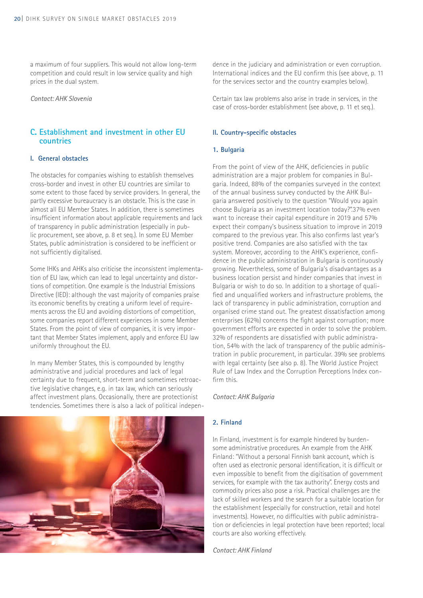a maximum of four suppliers. This would not allow long-term competition and could result in low service quality and high prices in the dual system.

#### *Contact: AHK Slovenia*

## **C. Establishment and investment in other EU countries**

#### **I. General obstacles**

The obstacles for companies wishing to establish themselves cross-border and invest in other EU countries are similar to some extent to those faced by service providers. In general, the partly excessive bureaucracy is an obstacle. This is the case in almost all EU Member States. In addition, there is sometimes insufficient information about applicable requirements and lack of transparency in public administration (especially in public procurement, see above, p. 8 et seq.). In some EU Member States, public administration is considered to be inefficient or not sufficiently digitalised.

Some IHKs and AHKs also criticise the inconsistent implementation of EU law, which can lead to legal uncertainty and distortions of competition. One example is the Industrial Emissions Directive (IED): although the vast majority of companies praise its economic benefits by creating a uniform level of requirements across the EU and avoiding distortions of competition, some companies report different experiences in some Member States. From the point of view of companies, it is very important that Member States implement, apply and enforce EU law uniformly throughout the EU.

In many Member States, this is compounded by lengthy administrative and judicial procedures and lack of legal certainty due to frequent, short-term and sometimes retroactive legislative changes, e.g. in tax law, which can seriously affect investment plans. Occasionally, there are protectionist tendencies. Sometimes there is also a lack of political indepen-



dence in the judiciary and administration or even corruption. International indices and the EU confirm this (see above, p. 11 for the services sector and the country examples below).

Certain tax law problems also arise in trade in services, in the case of cross-border establishment (see above, p. 11 et seq.).

#### **II. Country-specific obstacles**

#### **1. Bulgaria**

From the point of view of the AHK, deficiencies in public administration are a major problem for companies in Bulgaria. Indeed, 88% of the companies surveyed in the context of the annual business survey conducted by the AHK Bulgaria answered positively to the question "Would you again choose Bulgaria as an investment location today?".37% even want to increase their capital expenditure in 2019 and 57% expect their company's business situation to improve in 2019 compared to the previous year. This also confirms last year's positive trend. Companies are also satisfied with the tax system. Moreover, according to the AHK's experience, confidence in the public administration in Bulgaria is continuously growing. Nevertheless, some of Bulgaria's disadvantages as a business location persist and hinder companies that invest in Bulgaria or wish to do so. In addition to a shortage of qualified and unqualified workers and infrastructure problems, the lack of transparency in public administration, corruption and organised crime stand out. The greatest dissatisfaction among enterprises (62%) concerns the fight against corruption; more government efforts are expected in order to solve the problem. 32% of respondents are dissatisfied with public administration, 54% with the lack of transparency of the public administration in public procurement, in particular. 39% see problems with legal certainty (see also p. 8). The World Justice Project Rule of Law Index and the Corruption Perceptions Index confirm this.

#### *Contact: AHK Bulgaria*

## **2. Finland**

In Finland, investment is for example hindered by burdensome administrative procedures. An example from the AHK Finland: "Without a personal Finnish bank account, which is often used as electronic personal identification, it is difficult or even impossible to benefit from the digitisation of government services, for example with the tax authority". Energy costs and commodity prices also pose a risk. Practical challenges are the lack of skilled workers and the search for a suitable location for the establishment (especially for construction, retail and hotel investments). However, no difficulties with public administration or deficiencies in legal protection have been reported; local courts are also working effectively.

*Contact: AHK Finland*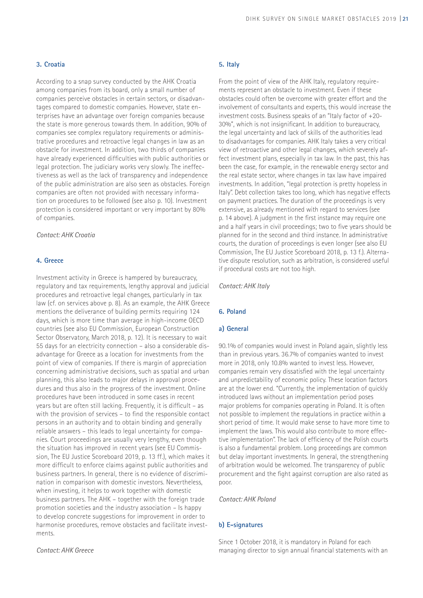#### **3. Croatia**

According to a snap survey conducted by the AHK Croatia among companies from its board, only a small number of companies perceive obstacles in certain sectors, or disadvantages compared to domestic companies. However, state enterprises have an advantage over foreign companies because the state is more generous towards them. In addition, 90% of companies see complex regulatory requirements or administrative procedures and retroactive legal changes in law as an obstacle for investment. In addition, two thirds of companies have already experienced difficulties with public authorities or legal protection. The judiciary works very slowly. The ineffectiveness as well as the lack of transparency and independence of the public administration are also seen as obstacles. Foreign companies are often not provided with necessary information on procedures to be followed (see also p. 10). Investment protection is considered important or very important by 80% of companies.

#### *Contact: AHK Croatia*

## **4. Greece**

Investment activity in Greece is hampered by bureaucracy, regulatory and tax requirements, lengthy approval and judicial procedures and retroactive legal changes, particularly in tax law (cf. on services above p. 8). As an example, the AHK Greece mentions the deliverance of building permits requiring 124 days, which is more time than average in high-income OECD countries (see also EU Commission, European Construction Sector Observatory, March 2018, p. 12). It is necessary to wait 55 days for an electricity connection – also a considerable disadvantage for Greece as a location for investments from the point of view of companies. If there is margin of appreciation concerning administrative decisions, such as spatial and urban planning, this also leads to major delays in approval procedures and thus also in the progress of the investment. Online procedures have been introduced in some cases in recent years but are often still lacking. Frequently, it is difficult – as with the provision of services – to find the responsible contact persons in an authority and to obtain binding and generally reliable answers – this leads to legal uncertainty for companies. Court proceedings are usually very lengthy, even though the situation has improved in recent years (see EU Commission, The EU Justice Scoreboard 2019, p. 13 ff.), which makes it more difficult to enforce claims against public authorities and business partners. In general, there is no evidence of discrimination in comparison with domestic investors. Nevertheless, when investing, it helps to work together with domestic business partners. The AHK – together with the foreign trade promotion societies and the industry association – Is happy to develop concrete suggestions for improvement in order to harmonise procedures, remove obstacles and facilitate investments.

#### *Contact: AHK Greece*

#### **5. Italy**

From the point of view of the AHK Italy, regulatory requirements represent an obstacle to investment. Even if these obstacles could often be overcome with greater effort and the involvement of consultants and experts, this would increase the investment costs. Business speaks of an "Italy factor of +20- 30%", which is not insignificant. In addition to bureaucracy, the legal uncertainty and lack of skills of the authorities lead to disadvantages for companies. AHK Italy takes a very critical view of retroactive and other legal changes, which severely affect investment plans, especially in tax law. In the past, this has been the case, for example, in the renewable energy sector and the real estate sector, where changes in tax law have impaired investments. In addition, "legal protection is pretty hopeless in Italy". Debt collection takes too long, which has negative effects on payment practices. The duration of the proceedings is very extensive, as already mentioned with regard to services (see p. 14 above). A judgment in the first instance may require one and a half years in civil proceedings; two to five years should be planned for in the second and third instance. In administrative courts, the duration of proceedings is even longer (see also EU Commission, The EU Justice Scoreboard 2018, p. 13 f.). Alternative dispute resolution, such as arbitration, is considered useful if procedural costs are not too high.

*Contact: AHK Italy*

#### **6. Poland**

#### **a) General**

90.1% of companies would invest in Poland again, slightly less than in previous years. 36.7% of companies wanted to invest more in 2018, only 10.8% wanted to invest less. However, companies remain very dissatisfied with the legal uncertainty and unpredictability of economic policy. These location factors are at the lower end. "Currently, the implementation of quickly introduced laws without an implementation period poses major problems for companies operating in Poland. It is often not possible to implement the regulations in practice within a short period of time. It would make sense to have more time to implement the laws. This would also contribute to more effective implementation". The lack of efficiency of the Polish courts is also a fundamental problem. Long proceedings are common but delay important investments. In general, the strengthening of arbitration would be welcomed. The transparency of public procurement and the fight against corruption are also rated as poor.

#### *Contact: AHK Poland*

### **b) E-signatures**

Since 1 October 2018, it is mandatory in Poland for each managing director to sign annual financial statements with an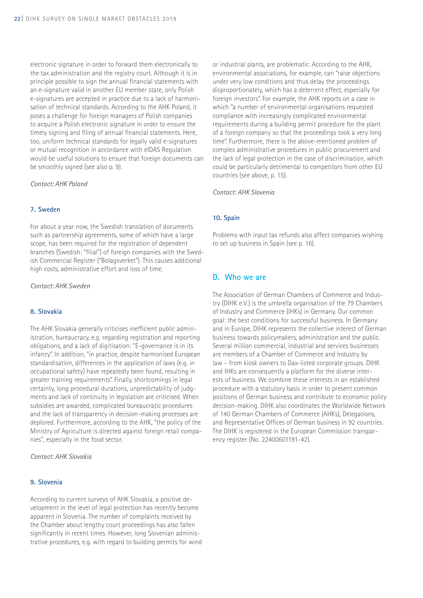electronic signature in order to forward them electronically to the tax administration and the registry court. Although it is in principle possible to sign the annual financial statements with an e-signature valid in another EU member state, only Polish e-signatures are accepted in practice due to a lack of harmonisation of technical standards. According to the AHK Poland, it poses a challenge for foreign managers of Polish companies to acquire a Polish electronic signature in order to ensure the timely signing and filing of annual financial statements. Here, too, uniform technical standards for legally valid e-signatures or mutual recognition in accordance with eIDAS Regulation would be useful solutions to ensure that foreign documents can be smoothly signed (see also p. 9).

*Contact: AHK Poland*

#### **7. Sweden**

For about a year now, the Swedish translation of documents such as partnership agreements, some of which have a large scope, has been required for the registration of dependent branches (Swedish: "filial") of foreign companies with the Swedish Commercial Register ("Bolagsverket"). This causes additional high costs, administrative effort and loss of time.

*Contact: AHK Sweden*

#### **8. Slovakia**

The AHK Slovakia generally criticises inefficient public administration, bureaucracy, e.g. regarding registration and reporting obligations, and a lack of digitisation: "E-governance is in its infancy". In addition, "in practice, despite harmonised European standardisation, differences in the application of laws (e.g. in occupational safety) have repeatedly been found, resulting in greater training requirements". Finally, shortcomings in legal certainty, long procedural durations, unpredictability of judgments and lack of continuity in legislation are criticised. When subsidies are awarded, complicated bureaucratic procedures and the lack of transparency in decision-making processes are deplored. Furthermore, according to the AHK, "the policy of the Ministry of Agriculture is directed against foreign retail companies", especially in the food sector.

*Contact: AHK Slovakia*

#### **9. Slovenia**

According to current surveys of AHK Slovakia, a positive development in the level of legal protection has recently become apparent in Slovenia. The number of complaints received by the Chamber about lengthy court proceedings has also fallen significantly in recent times. However, long Slovenian administrative procedures, e.g. with regard to building permits for wind or industrial plants, are problematic. According to the AHK, environmental associations, for example, can "raise objections under very low conditions and thus delay the proceedings disproportionately, which has a deterrent effect, especially for foreign investors". For example, the AHK reports on a case in which "a number of environmental organisations requested compliance with increasingly complicated environmental requirements during a building permit procedure for the plant of a foreign company so that the proceedings took a very long time". Furthermore, there is the above-mentioned problem of complex administrative procedures in public procurement and the lack of legal protection in the case of discrimination, which could be particularly detrimental to competitors from other EU countries (see above, p. 15).

*Contact: AHK Slovenia*

#### **10. Spain**

Problems with input tax refunds also affect companies wishing to set up business in Spain (see p. 16).

## **D. Who we are**

The Association of German Chambers of Commerce and Industry (DIHK e.V.) is the umbrella organisation of the 79 Chambers of Industry and Commerce (IHKs) in Germany. Our common goal: the best conditions for successful business. In Germany and in Europe, DIHK represents the collective interest of German business towards policymakers, administration and the public. Several million commercial, industrial and services businesses are members of a Chamber of Commerce and Industry by law – from kiosk owners to Dax-listed corporate groups. DIHK and IHKs are consequently a platform for the diverse interests of business. We combine these interests in an established procedure with a statutory basis in order to present common positions of German business and contribute to economic policy decision-making. DIHK also coordinates the Worldwide Network of 140 German Chambers of Commerce (AHKs), Delegations, and Representative Offices of German business in 92 countries. The DIHK is registered in the European Commission transparency register (No. 22400601191-42).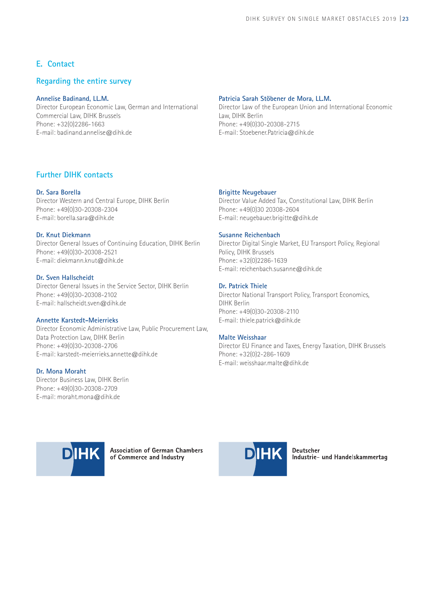## **E. Contact**

## **Regarding the entire survey**

## **Annelise Badinand, LL.M.**

Director European Economic Law, German and International Commercial Law, DIHK Brussels Phone: +32(0)2286-1663 E-mail: badinand.annelise@dihk.de

#### **Patricia Sarah Stöbener de Mora, LL.M.**

Director Law of the European Union and International Economic Law, DIHK Berlin Phone: +49(0)30-20308-2715 E-mail: Stoebener.Patricia@dihk.de

## **Further DIHK contacts**

## **Dr. Sara Borella**

Director Western and Central Europe, DIHK Berlin Phone: +49(0)30-20308-2304 E-mail: borella.sara@dihk.de

## **Dr. Knut Diekmann**

Director General Issues of Continuing Education, DIHK Berlin Phone: +49(0)30-20308-2521 E-mail: diekmann.knut@dihk.de

## **Dr. Sven Hallscheidt**

Director General Issues in the Service Sector, DIHK Berlin Phone: +49(0)30-20308-2102 E-mail: hallscheidt.sven@dihk.de

#### **Annette Karstedt-Meierrieks**

Director Economic Administrative Law, Public Procurement Law, Data Protection Law, DIHK Berlin Phone: +49(0)30-20308-2706 E-mail: karstedt-meierrieks.annette@dihk.de

#### **Dr. Mona Moraht**

Director Business Law, DIHK Berlin Phone: +49(0)30-20308-2709 E-mail: moraht.mona@dihk.de

## **Brigitte Neugebauer**

Director Value Added Tax, Constitutional Law, DIHK Berlin Phone: +49(0)30 20308-2604 E-mail: neugebauer.brigitte@dihk.de

#### **Susanne Reichenbach**

Director Digital Single Market, EU Transport Policy, Regional Policy, DIHK Brussels Phone: +32(0)2286-1639 E-mail: reichenbach.susanne@dihk.de

## **Dr. Patrick Thiele**

Director National Transport Policy, Transport Economics, DIHK Berlin Phone: +49(0)30-20308-2110 E-mail: thiele.patrick@dihk.de

#### **Malte Weisshaar**

Director EU Finance and Taxes, Energy Taxation, DIHK Brussels Phone: +32(0)2-286-1609 E-mail: weisshaar.malte@dihk.de



**Association of German Chambers** of Commerce and Industry



Deutscher Industrie- und Handelskammertag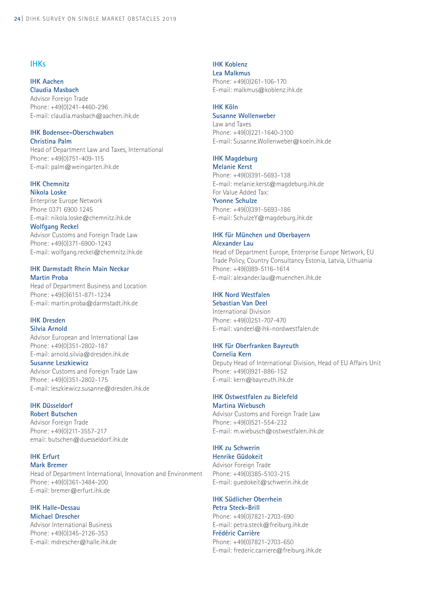## **IHKs**

## **IHK Aachen**

**Claudia Masbach** Advisor Foreign Trade Phone: +49(0)241-4460-296 E-mail: claudia.masbach@aachen.ihk.de

#### **IHK Bodensee-Oberschwaben Christina Palm**

Head of Department Law and Taxes, International Phone: +49(0)751-409-115 E-mail: palm@weingarten.ihk.de

#### **IHK Chemnitz Nikola Loske**

Enterprise Europe Network Phone 0371 6900 1245 E-mail: nikola.loske@chemnitz.ihk.de

**Wolfgang Reckel** Advisor Customs and Foreign Trade Law Phone: +49(0)371-6900-1243 E-mail: wolfgang.reckel@chemnitz.ihk.de

## **IHK Darmstadt Rhein Main Neckar Martin Proba**

Head of Department Business and Location Phone: +49(0)6151-871-1234 E-mail: martin.proba@darmstadt.ihk.de

#### **IHK Dresden Silvia Arnold**

Advisor European and International Law Phone: +49(0)351-2802-187 E-mail: arnold.silvia@dresden.ihk.de

**Susanne Leszkiewicz**

Advisor Customs and Foreign Trade Law Phone: +49(0)351-2802-175 E-mail: leszkiewicz.susanne@dresden.ihk.de

## **IHK Düsseldorf**

**Robert Butschen** 

Advisor Foreign Trade Phone: +49(0)211-3557-217 email: butschen@duesseldorf.ihk.de

#### **IHK Erfurt Mark Bremer**

Head of Department International, Innovation and Environment Phone: +49(0)361-3484-200 E-mail: bremer@erfurt.ihk.de

#### **IHK Halle-Dessau Michael Drescher**

Advisor International Business Phone: +49(0)345-2126-353 E-mail: mdrescher@halle.ihk.de

## **IHK Koblenz**

**Lea Malkmus**  Phone: +49(0)261-106-170 E-mail: malkmus@koblenz.ihk.de

## **IHK Köln**

## **Susanne Wollenweber**

Law and Taxes Phone: +49(0)221-1640-3100 E-mail: Susanne.Wollenweber@koeln.ihk.de

## **IHK Magdeburg**

**Melanie Kerst** Phone: +49(0)391-5693-138 E-mail: melanie.kerst@magdeburg.ihk.de For Value Added Tax: **Yvonne Schulze** Phone: +49(0)391-5693-186 E-mail: SchulzeY@magdeburg.ihk.de

## **IHK für München und Oberbayern Alexander Lau**

Head of Department Europe, Enterprise Europe Network, EU Trade Policy, Country Consultancy Estonia, Latvia, Lithuania Phone: +49(0)89-5116-1614 E-mail: alexander.lau@muenchen.ihk.de

## **IHK Nord Westfalen**

**Sebastian Van Deel** International Division Phone: +49(0)251-707-470 E-mail: vandeel@ihk-nordwestfalen.de

## **IHK für Oberfranken Bayreuth**

**Cornelia Kern** Deputy Head of International Division, Head of EU Affairs Unit Phone: +49(0)921-886-152 E-mail: kern@bayreuth.ihk.de

## **IHK Ostwestfalen zu Bielefeld Martina Wiebusch**

Advisor Customs and Foreign Trade Law Phone: +49(0)521-554-232 E-mail: m.wiebusch@ostwestfalen.ihk.de

## **IHK zu Schwerin**

**Henrike Güdokeit**  Advisor Foreign Trade Phone: +49(0)385-5103-215 E-mail: guedokeit@schwerin.ihk.de

#### **IHK Südlicher Oberrhein Petra Steck-Brill**

Phone: +49(0)7821-2703-690 E-mail: petra.steck@freiburg.ihk.de **Frédéric Carrière** Phone: +49(0)7821-2703-650 E-mail: frederic.carriere@freiburg.ihk.de